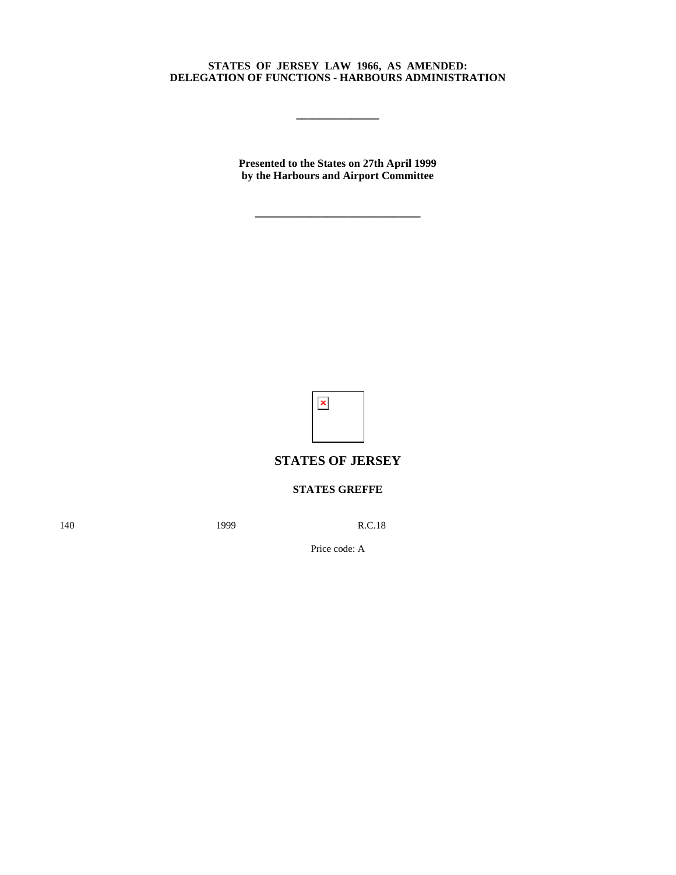## **STATES OF JERSEY LAW 1966, AS AMENDED: DELEGATION OF FUNCTIONS - HARBOURS ADMINISTRATION**

**\_\_\_\_\_\_\_\_\_\_\_\_\_\_\_**

**Presented to the States on 27th April 1999 by the Harbours and Airport Committee**

**\_\_\_\_\_\_\_\_\_\_\_\_\_\_\_\_\_\_\_\_\_\_\_\_\_\_\_\_\_\_**

 $\pmb{\times}$ 

## **STATES OF JERSEY**

## **STATES GREFFE**

140 **1999** R.C.18

Price code: A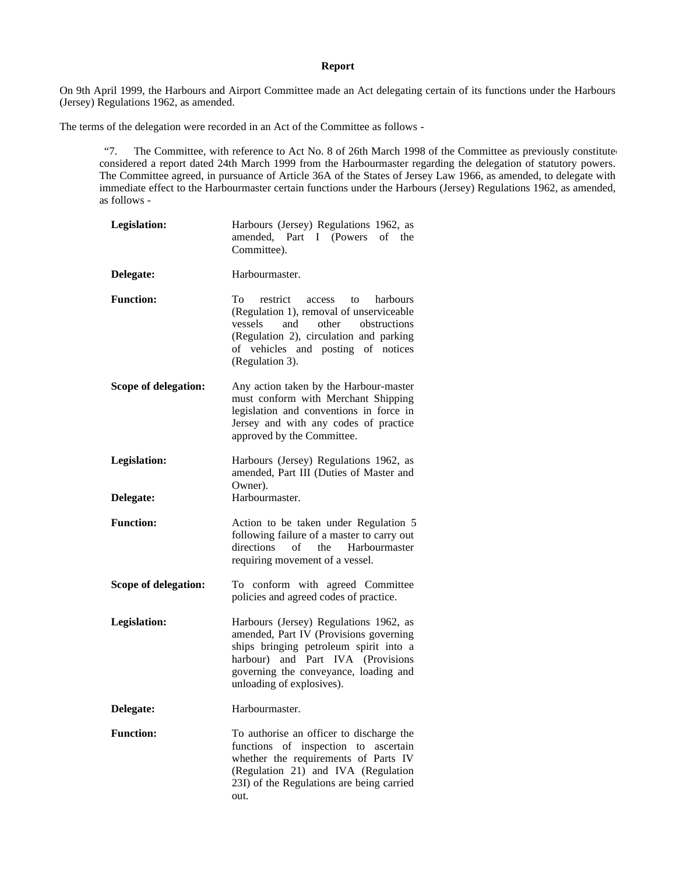## **Report**

On 9th April 1999, the Harbours and Airport Committee made an Act delegating certain of its functions under the Harbours (Jersey) Regulations 1962, as amended.

The terms of the delegation were recorded in an Act of the Committee as follows -

"7. The Committee, with reference to Act No. 8 of 26th March 1998 of the Committee as previously constituted considered a report dated 24th March 1999 from the Harbourmaster regarding the delegation of statutory powers. The Committee agreed, in pursuance of Article 36A of the States of Jersey Law 1966, as amended, to delegate with immediate effect to the Harbourmaster certain functions under the Harbours (Jersey) Regulations 1962, as amended, as follows -

| <b>Legislation:</b>              | Harbours (Jersey) Regulations 1962, as<br>amended, Part I (Powers<br>of the<br>Committee).                                                                                                                                            |
|----------------------------------|---------------------------------------------------------------------------------------------------------------------------------------------------------------------------------------------------------------------------------------|
| Delegate:                        | Harbourmaster.                                                                                                                                                                                                                        |
| <b>Function:</b>                 | To<br>restrict<br>harbours<br>access<br>to<br>(Regulation 1), removal of unserviceable<br>and<br>other<br>vessels<br>obstructions<br>(Regulation 2), circulation and parking<br>of vehicles and posting of notices<br>(Regulation 3). |
| Scope of delegation:             | Any action taken by the Harbour-master<br>must conform with Merchant Shipping<br>legislation and conventions in force in<br>Jersey and with any codes of practice<br>approved by the Committee.                                       |
| <b>Legislation:</b><br>Delegate: | Harbours (Jersey) Regulations 1962, as<br>amended, Part III (Duties of Master and<br>Owner).<br>Harbourmaster.                                                                                                                        |
| <b>Function:</b>                 | Action to be taken under Regulation 5<br>following failure of a master to carry out<br>directions<br>of<br>the<br>Harbourmaster<br>requiring movement of a vessel.                                                                    |
| Scope of delegation:             | To conform with agreed Committee<br>policies and agreed codes of practice.                                                                                                                                                            |
| <b>Legislation:</b>              | Harbours (Jersey) Regulations 1962, as<br>amended, Part IV (Provisions governing<br>ships bringing petroleum spirit into a<br>harbour) and Part IVA (Provisions<br>governing the conveyance, loading and<br>unloading of explosives). |
| Delegate:                        | Harbourmaster.                                                                                                                                                                                                                        |
| <b>Function:</b>                 | To authorise an officer to discharge the<br>of inspection<br>functions<br>to<br>ascertain<br>whether the requirements of Parts IV<br>(Regulation 21) and IVA (Regulation<br>23I) of the Regulations are being carried<br>out.         |